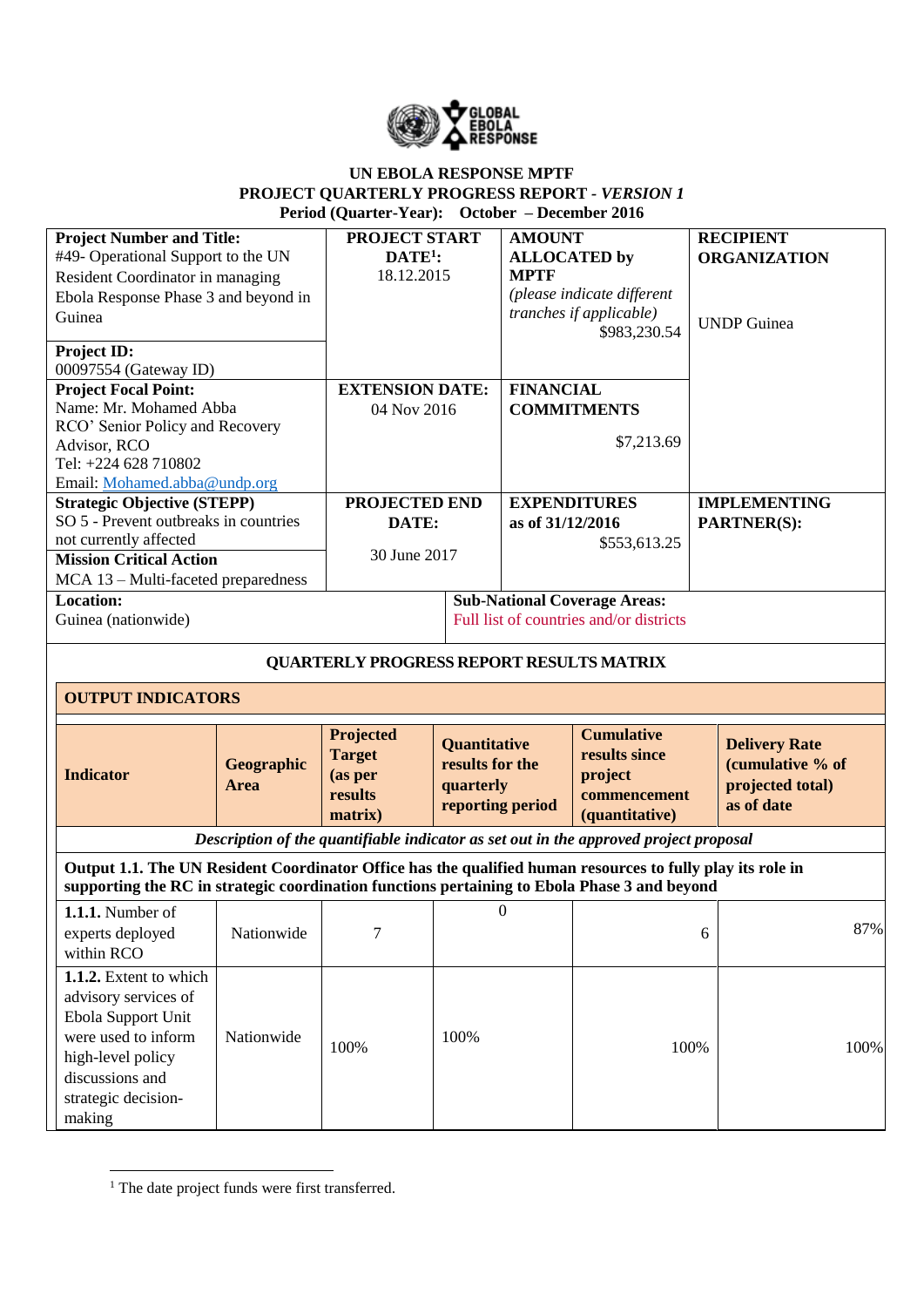

## **UN EBOLA RESPONSE MPTF PROJECT QUARTERLY PROGRESS REPORT** *- VERSION 1* **Period (Quarter-Year): October – December 2016**

| <b>Project Number and Title:</b><br>#49- Operational Support to the UN<br>Resident Coordinator in managing<br>Ebola Response Phase 3 and beyond in<br>Guinea<br>Project ID:                                |                           | <b>PROJECT START</b><br>$\mathbf{DATE}^{1}$ :<br>18.12.2015 |                                                                         | <b>AMOUNT</b><br><b>ALLOCATED</b> by<br><b>MPTF</b> | (please indicate different<br>tranches if applicable)<br>\$983,230.54                 |   | <b>RECIPIENT</b><br><b>ORGANIZATION</b><br><b>UNDP</b> Guinea              |
|------------------------------------------------------------------------------------------------------------------------------------------------------------------------------------------------------------|---------------------------|-------------------------------------------------------------|-------------------------------------------------------------------------|-----------------------------------------------------|---------------------------------------------------------------------------------------|---|----------------------------------------------------------------------------|
| 00097554 (Gateway ID)<br><b>Project Focal Point:</b><br>Name: Mr. Mohamed Abba<br>RCO' Senior Policy and Recovery<br>Advisor, RCO<br>Tel: +224 628 710802<br>Email: Mohamed.abba@undp.org                  |                           | <b>EXTENSION DATE:</b><br>04 Nov 2016                       |                                                                         | <b>FINANCIAL</b>                                    | <b>COMMITMENTS</b><br>\$7,213.69                                                      |   |                                                                            |
| <b>Strategic Objective (STEPP)</b><br>SO 5 - Prevent outbreaks in countries<br>not currently affected<br><b>Mission Critical Action</b><br>MCA 13 - Multi-faceted preparedness                             |                           | <b>PROJECTED END</b><br>DATE:<br>30 June 2017               |                                                                         | as of 31/12/2016                                    | <b>EXPENDITURES</b><br>\$553,613.25                                                   |   | <b>IMPLEMENTING</b><br><b>PARTNER(S):</b>                                  |
| Location:<br>Guinea (nationwide)                                                                                                                                                                           |                           |                                                             |                                                                         |                                                     | <b>Sub-National Coverage Areas:</b><br>Full list of countries and/or districts        |   |                                                                            |
|                                                                                                                                                                                                            |                           | <b>QUARTERLY PROGRESS REPORT RESULTS MATRIX</b>             |                                                                         |                                                     |                                                                                       |   |                                                                            |
| <b>OUTPUT INDICATORS</b>                                                                                                                                                                                   |                           |                                                             |                                                                         |                                                     |                                                                                       |   |                                                                            |
| <b>Indicator</b>                                                                                                                                                                                           | <b>Geographic</b><br>Area | Projected<br><b>Target</b><br>(as per<br>results<br>matrix) | <b>Quantitative</b><br>results for the<br>quarterly<br>reporting period |                                                     | <b>Cumulative</b><br>results since<br>project<br>commencement<br>(quantitative)       |   | <b>Delivery Rate</b><br>(cumulative % of<br>projected total)<br>as of date |
|                                                                                                                                                                                                            |                           |                                                             |                                                                         |                                                     | Description of the quantifiable indicator as set out in the approved project proposal |   |                                                                            |
| Output 1.1. The UN Resident Coordinator Office has the qualified human resources to fully play its role in<br>supporting the RC in strategic coordination functions pertaining to Ebola Phase 3 and beyond |                           |                                                             |                                                                         |                                                     |                                                                                       |   |                                                                            |
| 1.1.1. Number of<br>experts deployed<br>within RCO                                                                                                                                                         | Nationwide                | $\tau$                                                      |                                                                         | $\boldsymbol{0}$                                    |                                                                                       | 6 | 87%                                                                        |
| 1.1.2. Extent to which<br>advisory services of<br>Ebola Support Unit<br>were used to inform<br>high-level policy<br>discussions and<br>strategic decision-<br>making                                       | Nationwide                | 100%                                                        | 100%                                                                    |                                                     | 100%                                                                                  |   | 100%                                                                       |

**<sup>.</sup>** <sup>1</sup> The date project funds were first transferred.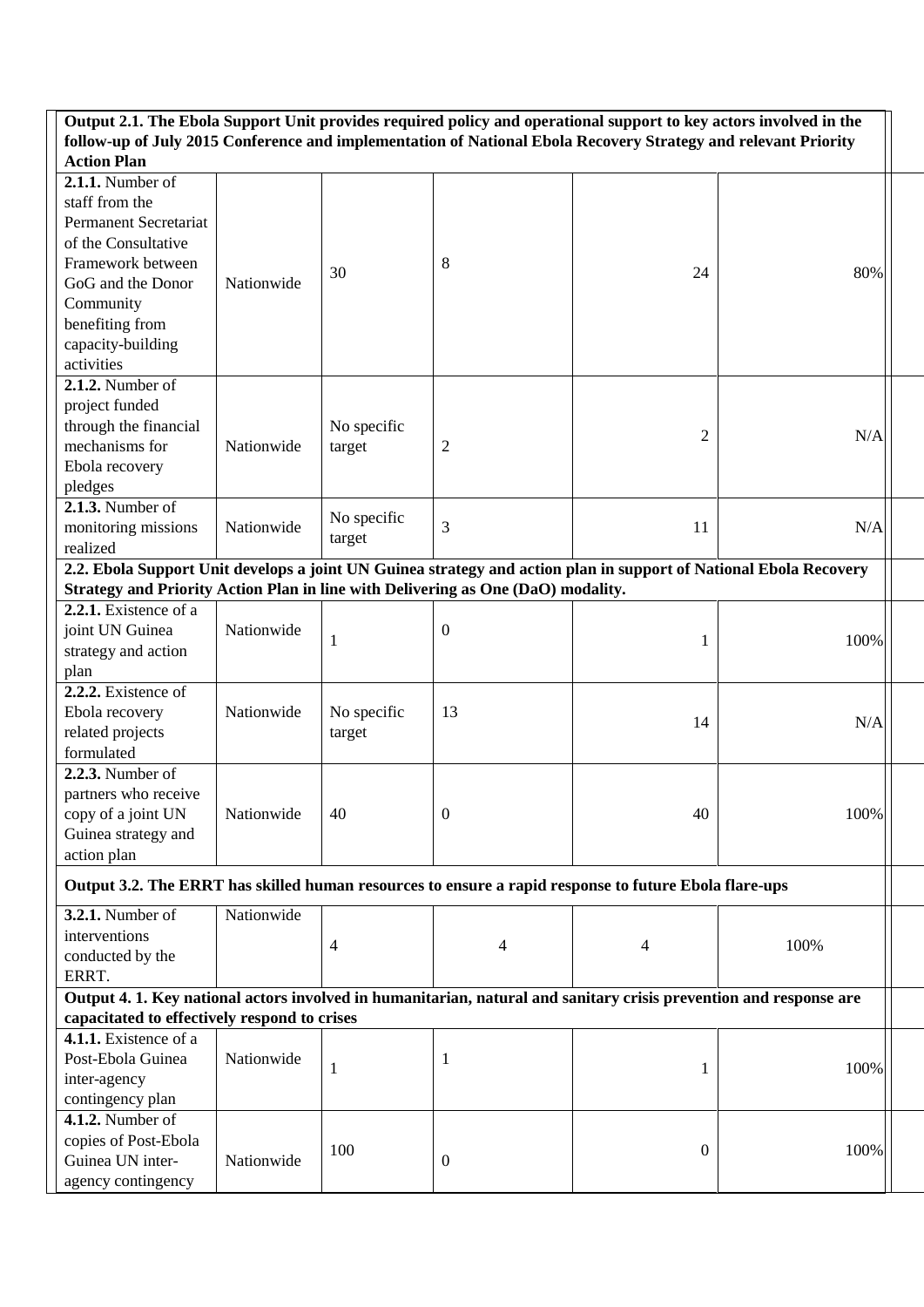| Output 2.1. The Ebola Support Unit provides required policy and operational support to key actors involved in the                    |            |              |                  |                |                                                                                                                   |  |
|--------------------------------------------------------------------------------------------------------------------------------------|------------|--------------|------------------|----------------|-------------------------------------------------------------------------------------------------------------------|--|
| follow-up of July 2015 Conference and implementation of National Ebola Recovery Strategy and relevant Priority<br><b>Action Plan</b> |            |              |                  |                |                                                                                                                   |  |
| 2.1.1. Number of                                                                                                                     |            |              |                  |                |                                                                                                                   |  |
| staff from the                                                                                                                       |            |              |                  |                |                                                                                                                   |  |
| <b>Permanent Secretariat</b>                                                                                                         |            |              |                  |                |                                                                                                                   |  |
| of the Consultative                                                                                                                  |            |              |                  |                |                                                                                                                   |  |
| Framework between                                                                                                                    |            |              | 8                |                |                                                                                                                   |  |
| GoG and the Donor                                                                                                                    | Nationwide | 30           |                  | 24             | 80%                                                                                                               |  |
| Community                                                                                                                            |            |              |                  |                |                                                                                                                   |  |
| benefiting from                                                                                                                      |            |              |                  |                |                                                                                                                   |  |
| capacity-building                                                                                                                    |            |              |                  |                |                                                                                                                   |  |
| activities                                                                                                                           |            |              |                  |                |                                                                                                                   |  |
| 2.1.2. Number of                                                                                                                     |            |              |                  |                |                                                                                                                   |  |
| project funded                                                                                                                       |            |              |                  |                |                                                                                                                   |  |
| through the financial                                                                                                                |            | No specific  |                  |                |                                                                                                                   |  |
| mechanisms for                                                                                                                       | Nationwide | target       | 2                | $\overline{2}$ | N/A                                                                                                               |  |
| Ebola recovery                                                                                                                       |            |              |                  |                |                                                                                                                   |  |
| pledges                                                                                                                              |            |              |                  |                |                                                                                                                   |  |
| $2.1.3.$ Number of                                                                                                                   |            |              |                  |                |                                                                                                                   |  |
| monitoring missions                                                                                                                  | Nationwide | No specific  | 3                | 11             | N/A                                                                                                               |  |
| realized                                                                                                                             |            | target       |                  |                |                                                                                                                   |  |
|                                                                                                                                      |            |              |                  |                | 2.2. Ebola Support Unit develops a joint UN Guinea strategy and action plan in support of National Ebola Recovery |  |
| Strategy and Priority Action Plan in line with Delivering as One (DaO) modality.                                                     |            |              |                  |                |                                                                                                                   |  |
| 2.2.1. Existence of a                                                                                                                |            |              |                  |                |                                                                                                                   |  |
| joint UN Guinea                                                                                                                      | Nationwide |              | $\boldsymbol{0}$ |                |                                                                                                                   |  |
| strategy and action                                                                                                                  |            | $\mathbf{1}$ |                  | 1              | 100%                                                                                                              |  |
| plan                                                                                                                                 |            |              |                  |                |                                                                                                                   |  |
| 2.2.2. Existence of                                                                                                                  |            |              |                  |                |                                                                                                                   |  |
| Ebola recovery                                                                                                                       | Nationwide | No specific  | 13               |                |                                                                                                                   |  |
| related projects                                                                                                                     |            |              |                  | 14             | N/A                                                                                                               |  |
| formulated                                                                                                                           |            | target       |                  |                |                                                                                                                   |  |
| <b>2.2.3.</b> Number of                                                                                                              |            |              |                  |                |                                                                                                                   |  |
| partners who receive                                                                                                                 |            |              |                  |                |                                                                                                                   |  |
| copy of a joint UN                                                                                                                   | Nationwide | 40           | $\boldsymbol{0}$ | 40             | 100%                                                                                                              |  |
| Guinea strategy and                                                                                                                  |            |              |                  |                |                                                                                                                   |  |
| action plan                                                                                                                          |            |              |                  |                |                                                                                                                   |  |
|                                                                                                                                      |            |              |                  |                |                                                                                                                   |  |
| Output 3.2. The ERRT has skilled human resources to ensure a rapid response to future Ebola flare-ups                                |            |              |                  |                |                                                                                                                   |  |
| <b>3.2.1.</b> Number of                                                                                                              | Nationwide |              |                  |                |                                                                                                                   |  |
| interventions                                                                                                                        |            |              |                  |                |                                                                                                                   |  |
| conducted by the                                                                                                                     |            | 4            | 4                | 4              | 100%                                                                                                              |  |
| ERRT.                                                                                                                                |            |              |                  |                |                                                                                                                   |  |
| Output 4. 1. Key national actors involved in humanitarian, natural and sanitary crisis prevention and response are                   |            |              |                  |                |                                                                                                                   |  |
| capacitated to effectively respond to crises                                                                                         |            |              |                  |                |                                                                                                                   |  |
| $4.1.1.$ Existence of a                                                                                                              |            |              |                  |                |                                                                                                                   |  |
| Post-Ebola Guinea                                                                                                                    | Nationwide |              | 1                |                | 100%                                                                                                              |  |
| inter-agency                                                                                                                         |            | $\mathbf{1}$ |                  | 1              |                                                                                                                   |  |
| contingency plan                                                                                                                     |            |              |                  |                |                                                                                                                   |  |
| <b>4.1.2.</b> Number of                                                                                                              |            |              |                  |                |                                                                                                                   |  |
| copies of Post-Ebola                                                                                                                 |            | 100          |                  |                | 100%                                                                                                              |  |
| Guinea UN inter-                                                                                                                     | Nationwide |              | $\boldsymbol{0}$ | $\mathbf{0}$   |                                                                                                                   |  |
| agency contingency                                                                                                                   |            |              |                  |                |                                                                                                                   |  |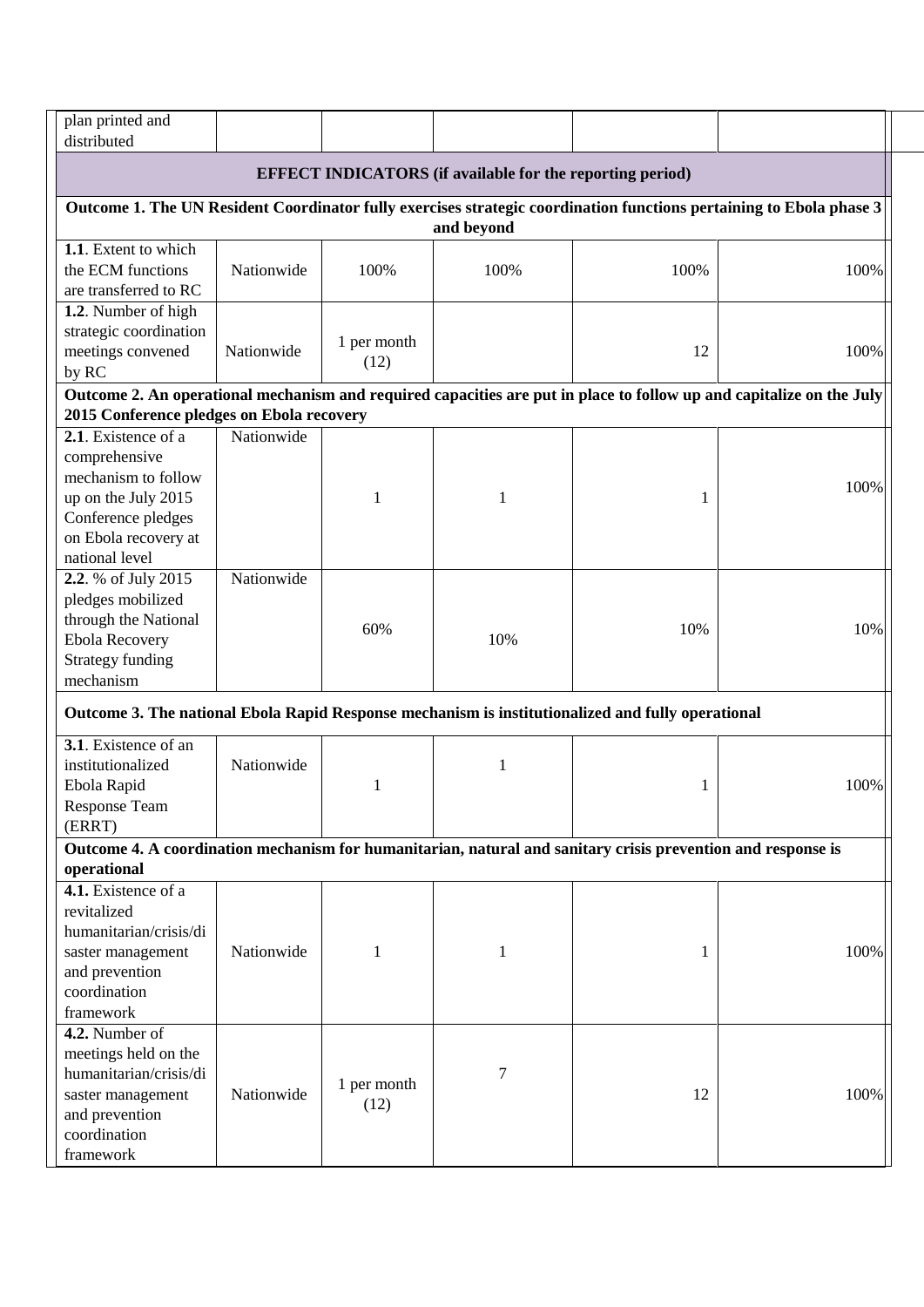| plan printed and<br>distributed                                                                              |            |              |                                                                  |      |                                                                                                                      |
|--------------------------------------------------------------------------------------------------------------|------------|--------------|------------------------------------------------------------------|------|----------------------------------------------------------------------------------------------------------------------|
|                                                                                                              |            |              | <b>EFFECT INDICATORS</b> (if available for the reporting period) |      |                                                                                                                      |
|                                                                                                              |            |              |                                                                  |      | Outcome 1. The UN Resident Coordinator fully exercises strategic coordination functions pertaining to Ebola phase 3  |
|                                                                                                              |            |              | and beyond                                                       |      |                                                                                                                      |
| 1.1. Extent to which                                                                                         |            |              |                                                                  |      |                                                                                                                      |
| the ECM functions                                                                                            | Nationwide | 100%         | 100%                                                             | 100% | 100%                                                                                                                 |
| are transferred to RC                                                                                        |            |              |                                                                  |      |                                                                                                                      |
| 1.2. Number of high                                                                                          |            |              |                                                                  |      |                                                                                                                      |
| strategic coordination                                                                                       |            | 1 per month  |                                                                  |      |                                                                                                                      |
| meetings convened                                                                                            | Nationwide | (12)         |                                                                  | 12   | 100%                                                                                                                 |
| by RC                                                                                                        |            |              |                                                                  |      |                                                                                                                      |
|                                                                                                              |            |              |                                                                  |      | Outcome 2. An operational mechanism and required capacities are put in place to follow up and capitalize on the July |
| 2015 Conference pledges on Ebola recovery                                                                    |            |              |                                                                  |      |                                                                                                                      |
| 2.1. Existence of a                                                                                          | Nationwide |              |                                                                  |      |                                                                                                                      |
| comprehensive                                                                                                |            |              |                                                                  |      |                                                                                                                      |
| mechanism to follow                                                                                          |            |              |                                                                  |      | 100%                                                                                                                 |
| up on the July 2015                                                                                          |            | 1            | 1                                                                | 1    |                                                                                                                      |
| Conference pledges                                                                                           |            |              |                                                                  |      |                                                                                                                      |
| on Ebola recovery at                                                                                         |            |              |                                                                  |      |                                                                                                                      |
| national level                                                                                               |            |              |                                                                  |      |                                                                                                                      |
| 2.2. % of July 2015                                                                                          | Nationwide |              |                                                                  |      |                                                                                                                      |
| pledges mobilized                                                                                            |            |              |                                                                  |      |                                                                                                                      |
| through the National                                                                                         |            | 60%          |                                                                  | 10%  | 10%                                                                                                                  |
| <b>Ebola Recovery</b>                                                                                        |            |              | 10%                                                              |      |                                                                                                                      |
| <b>Strategy funding</b>                                                                                      |            |              |                                                                  |      |                                                                                                                      |
| mechanism                                                                                                    |            |              |                                                                  |      |                                                                                                                      |
| Outcome 3. The national Ebola Rapid Response mechanism is institutionalized and fully operational            |            |              |                                                                  |      |                                                                                                                      |
| 3.1. Existence of an                                                                                         |            |              |                                                                  |      |                                                                                                                      |
| institutionalized                                                                                            | Nationwide |              | 1                                                                |      |                                                                                                                      |
| Ebola Rapid                                                                                                  |            | 1            |                                                                  | 1    | 100%                                                                                                                 |
| <b>Response Team</b>                                                                                         |            |              |                                                                  |      |                                                                                                                      |
| (ERRT)                                                                                                       |            |              |                                                                  |      |                                                                                                                      |
| Outcome 4. A coordination mechanism for humanitarian, natural and sanitary crisis prevention and response is |            |              |                                                                  |      |                                                                                                                      |
| operational                                                                                                  |            |              |                                                                  |      |                                                                                                                      |
| 4.1. Existence of a                                                                                          |            |              |                                                                  |      |                                                                                                                      |
| revitalized                                                                                                  |            |              |                                                                  |      |                                                                                                                      |
| humanitarian/crisis/di                                                                                       |            |              |                                                                  |      |                                                                                                                      |
| saster management                                                                                            | Nationwide | $\mathbf{1}$ | 1                                                                | 1    | 100%                                                                                                                 |
| and prevention                                                                                               |            |              |                                                                  |      |                                                                                                                      |
| coordination                                                                                                 |            |              |                                                                  |      |                                                                                                                      |
| framework                                                                                                    |            |              |                                                                  |      |                                                                                                                      |
| 4.2. Number of                                                                                               |            |              |                                                                  |      |                                                                                                                      |
| meetings held on the                                                                                         |            |              |                                                                  |      |                                                                                                                      |
| humanitarian/crisis/di                                                                                       |            | 1 per month  | 7                                                                |      |                                                                                                                      |
| saster management                                                                                            | Nationwide | (12)         |                                                                  | 12   | 100%                                                                                                                 |
| and prevention<br>coordination                                                                               |            |              |                                                                  |      |                                                                                                                      |
| framework                                                                                                    |            |              |                                                                  |      |                                                                                                                      |
|                                                                                                              |            |              |                                                                  |      |                                                                                                                      |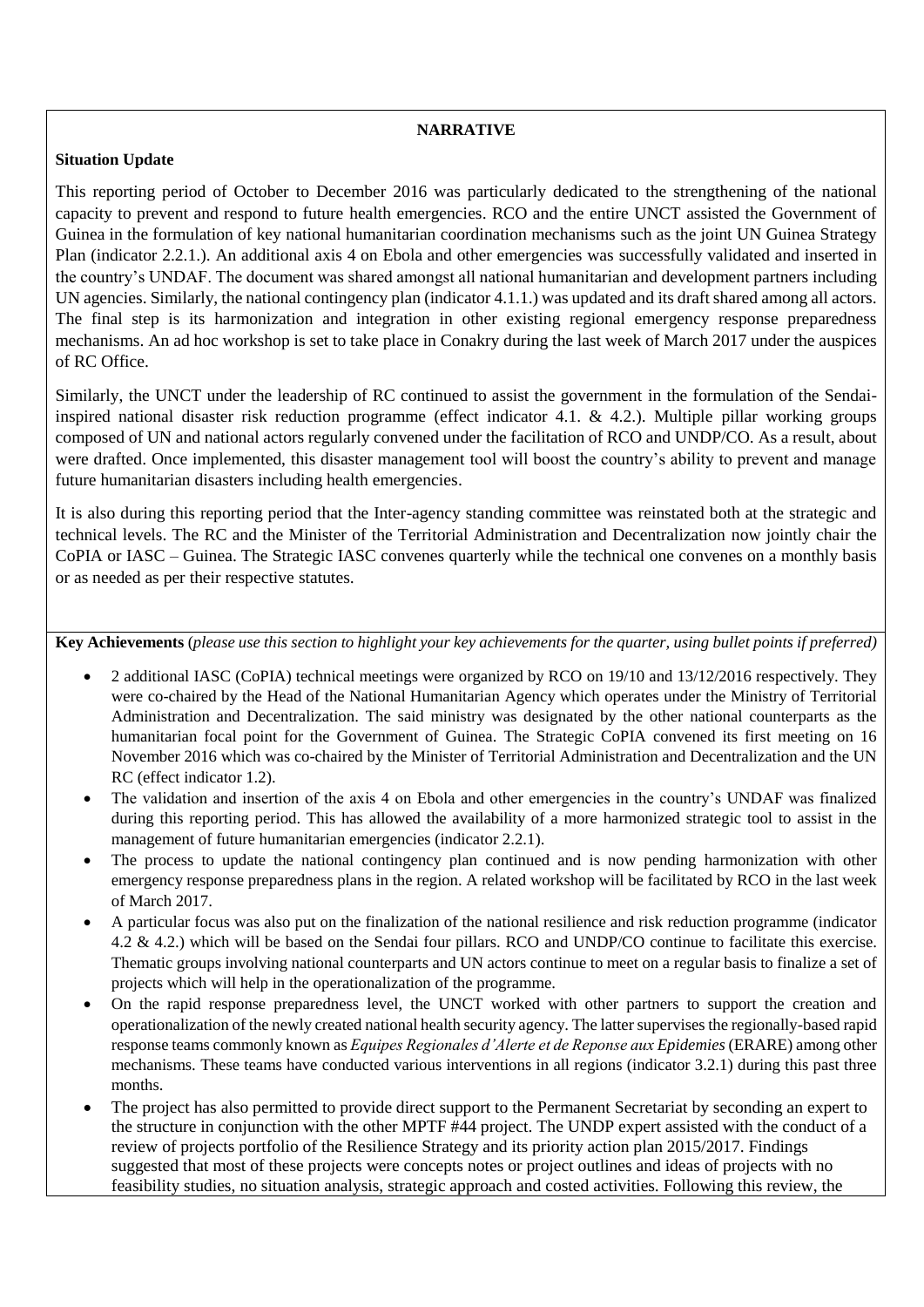## **NARRATIVE**

## **Situation Update**

This reporting period of October to December 2016 was particularly dedicated to the strengthening of the national capacity to prevent and respond to future health emergencies. RCO and the entire UNCT assisted the Government of Guinea in the formulation of key national humanitarian coordination mechanisms such as the joint UN Guinea Strategy Plan (indicator 2.2.1.). An additional axis 4 on Ebola and other emergencies was successfully validated and inserted in the country's UNDAF. The document was shared amongst all national humanitarian and development partners including UN agencies. Similarly, the national contingency plan (indicator 4.1.1.) was updated and its draft shared among all actors. The final step is its harmonization and integration in other existing regional emergency response preparedness mechanisms. An ad hoc workshop is set to take place in Conakry during the last week of March 2017 under the auspices of RC Office.

Similarly, the UNCT under the leadership of RC continued to assist the government in the formulation of the Sendaiinspired national disaster risk reduction programme (effect indicator 4.1.  $\&$  4.2.). Multiple pillar working groups composed of UN and national actors regularly convened under the facilitation of RCO and UNDP/CO. As a result, about were drafted. Once implemented, this disaster management tool will boost the country's ability to prevent and manage future humanitarian disasters including health emergencies.

It is also during this reporting period that the Inter-agency standing committee was reinstated both at the strategic and technical levels. The RC and the Minister of the Territorial Administration and Decentralization now jointly chair the CoPIA or IASC – Guinea. The Strategic IASC convenes quarterly while the technical one convenes on a monthly basis or as needed as per their respective statutes.

**Key Achievements** (*please use this section to highlight your key achievements for the quarter, using bullet points if preferred)*

- 2 additional IASC (CoPIA) technical meetings were organized by RCO on 19/10 and 13/12/2016 respectively. They were co-chaired by the Head of the National Humanitarian Agency which operates under the Ministry of Territorial Administration and Decentralization. The said ministry was designated by the other national counterparts as the humanitarian focal point for the Government of Guinea. The Strategic CoPIA convened its first meeting on 16 November 2016 which was co-chaired by the Minister of Territorial Administration and Decentralization and the UN RC (effect indicator 1.2).
- The validation and insertion of the axis 4 on Ebola and other emergencies in the country's UNDAF was finalized during this reporting period. This has allowed the availability of a more harmonized strategic tool to assist in the management of future humanitarian emergencies (indicator 2.2.1).
- The process to update the national contingency plan continued and is now pending harmonization with other emergency response preparedness plans in the region. A related workshop will be facilitated by RCO in the last week of March 2017.
- A particular focus was also put on the finalization of the national resilience and risk reduction programme (indicator 4.2 & 4.2.) which will be based on the Sendai four pillars. RCO and UNDP/CO continue to facilitate this exercise. Thematic groups involving national counterparts and UN actors continue to meet on a regular basis to finalize a set of projects which will help in the operationalization of the programme.
- On the rapid response preparedness level, the UNCT worked with other partners to support the creation and operationalization of the newly created national health security agency. The latter supervises the regionally-based rapid response teams commonly known as *Equipes Regionales d'Alerte et de Reponse aux Epidemies*(ERARE) among other mechanisms. These teams have conducted various interventions in all regions (indicator 3.2.1) during this past three months.
- The project has also permitted to provide direct support to the Permanent Secretariat by seconding an expert to the structure in conjunction with the other MPTF #44 project. The UNDP expert assisted with the conduct of a review of projects portfolio of the Resilience Strategy and its priority action plan 2015/2017. Findings suggested that most of these projects were concepts notes or project outlines and ideas of projects with no feasibility studies, no situation analysis, strategic approach and costed activities. Following this review, the